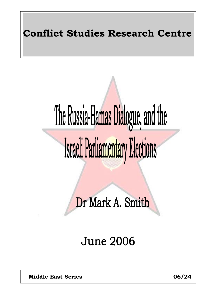## **Conflict Studies Research Centre**

# The Russia-Hamas Dialogue, and the Israeli Parliamentary Elections

Dr Mark A. Smith

# **June 2006**

**Middle East Series 06/24** 1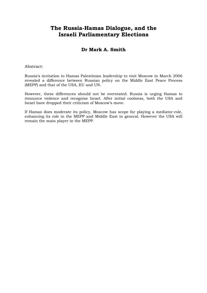#### **The Russia-Hamas Dialogue, and the Israeli Parliamentary Elections**

#### **Dr Mark A. Smith**

#### Abstract:

Russia's invitation to Hamas Palestinian leadership to visit Moscow in March 2006 revealed a difference between Russian policy on the Middle East Peace Process (MEPP) and that of the USA, EU and UN.

However, these differences should not be overstated. Russia is urging Hamas to renounce violence and recognise Israel. After initial coolness, both the USA and Israel have dropped their criticism of Moscow's move.

If Hamas does moderate its policy, Moscow has scope for playing a mediator-role, enhancing its role in the MEPP and Middle East in general. However the USA will remain the main player in the MEPP.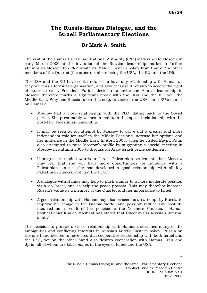#### **The Russia-Hamas Dialogue, and the Israeli Parliamentary Elections**

#### **Dr Mark A. Smith**

The visit of the Hamas Palestinian National Authority (PNA) leadership to Moscow in early March 2006 at the invitation of the Russian leadership marked a further attempt by Moscow to differentiate its Middle Eastern policy from that of the other members of the Quartet (the other members being the USA, the EU and the UN).

The USA and the EU have so far refused to have any relationship with Hamas as they see it as a terrorist organisation, and also because it refuses to accept the right of Israel to exist. President Putin's decision to invite the Hamas leadership to Moscow therefore marks a significant break with the USA and the EU over the Middle East. Why has Russia taken this step, in view of the USA's and EU's stance on Hamas?

- Moscow had a close relationship with the PLO, dating back to the Soviet period. She presumably wishes to maintain this special relationship with the post-PLO Palestinian leadership.
- It may be seen as an attempt by Moscow to carve out a greater and more independent role for itself in the Middle East and increase her options and her influence in the Middle East. In April 2005, when he visited Egypt, Putin also attempted to raise Moscow's profile by suggesting a special meeting in Moscow in autumn 2005 to discuss an Arab-Israeli peace settlement.
- If progress is made towards an Israeli-Palestinian settlement, then Moscow may feel that she will have more opportunities for influence with a Palestinian state if she has developed a good relationship with all key Palestinian players, not just the PLO.
- A dialogue with Hamas may help to push Hamas to a more moderate position vis-à-vis Israel, and so help the peace process. This may therefore increase Russia's value as a member of the Quartet and her importance to Israel.
- A good relationship with Hamas may also be seen as an attempt by Russia to improve her image in the Islamic world, and possibly reduce any hostility incurred as a result of her policies in the Northern Caucasus. Hamas political chief Khaled Mashaal has stated that Chechnya is Russia's internal affair.[1](#page-3-0)

The decision to pursue a closer relationship with Hamas underlines many of the ambiguities and conflicting interests in Russia's Middle Eastern policy. Russia on the one hand desires to have a cordial cooperative relationship with both Israel and the USA, yet on the other hand also desires cooperation with Hamas, Iran and Syria, all of whom are *bêtes noires* in the eyes of Israel and the USA.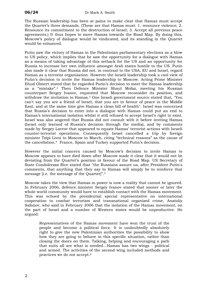The Russian leadership has been at pains to make clear that Hamas must accept the Quartet's three demands. (These are that Hamas must: 1. renounce violence; 2. Renounce its commitment to the destruction of Israel; 3. Accept all previous peace agreements.) It thus hopes to move Hamas towards the Road Map. By doing this, Moscow's policy of dialogue would be vindicated, and its standing in the Quartet would be enhanced.

<span id="page-3-8"></span><span id="page-3-7"></span><span id="page-3-6"></span><span id="page-3-5"></span><span id="page-3-4"></span><span id="page-3-3"></span><span id="page-3-2"></span><span id="page-3-1"></span><span id="page-3-0"></span>Putin saw the victory of Hamas in the Palestinian parliamentary elections as a blow to US policy, which implies that he saw the opportunity for a dialogue with Hamas as a means of taking advantage of this setback for the US and an opportunity for Russia to increase her own influence amongst Arab states hostile to the US. Putin also made it clear that Russia did not, in contrast to the USA, EU and Israel, regard Hamas as a terrorist organisation. However the Israeli leadership took a cool view of Putin's decision to invite the Hamas leadership to Moscow. Acting Prime Minister Ehud Olmert stated that he regarded Putin's decision to meet the Hamas leadership as a "mistake".[2](#page-3-1) Then Defence Minister Shaul Mofaz, meeting his Russian counterpart Sergey Ivanov, requested that Moscow reconsider its position, and withdraw the invitation to Hamas.[3](#page-3-2) One Israeli government source stated that, "You can't say you are a friend of Israel, that you are in favour of peace in the Middle East, and at the same time give Hamas a clean bill of health". Israel was concerned that Russia's decision to enter into a dialogue with Hamas could put an end to Hamas's international isolation whilst it still refused to accept Israel's right to exist. Israel was also angered that Russia did not consult with it before inviting Hamas (Israel only learned of Russia's decision through the media), and by comments made by Sergey Lavrov that appeared to equate Hamas' terrorist actions with Israeli counter-terrorist operations. Consequently Israel cancelled a trip by foreign minister Tzipi Livni to Moscow in March, citing "technical reasons" as the cause of the cancellation.[4](#page-3-3) France, Spain and Turkey supported Putin's decision.

<span id="page-3-13"></span><span id="page-3-12"></span><span id="page-3-11"></span><span id="page-3-10"></span><span id="page-3-9"></span>However the initial concern caused by Moscow's decision to invite Hamas to Moscow appears to have died down after Moscow made it clear that it would not be deviating from the Quartet's position in favour of the Road Map. US Secretary of State Condoleezza Rice stated that "the Russians assure us, after President Putin's comments, that anything that they say to Hamas will simply be to reinforce that message [i.e. the message of the Quartet]".[5](#page-3-4)

<span id="page-3-15"></span><span id="page-3-14"></span>Moscow takes the view that Hamas in power is now a reality that cannot be ignored. In February 2006, defence minister Sergey Ivanov stated that sooner or later the whole world community would have to establish contact with the Hamas movement. This was echoed by the presidential special representative on international cooperation to combat terrorism and transnational organized crime, Anatoliy Safonov, who said in February 2006 that the isolation of the Hamas movement, on the part of Israel and a number of Western states would be unproductive. He argued:

Representatives of the Hamas movement have won the trust of the people and become a political force. It is undoubtedly absolutely right to give the new Palestinian authorities the possibility to show how they are going to behave in this specific situation, rather than closing the doors on them. Talking, helping and encouraging a path that suits all are what is needed…Hamas has two wings - political and armed. The activities of the second wing included methods and practices we do not accept.[6](#page-3-5)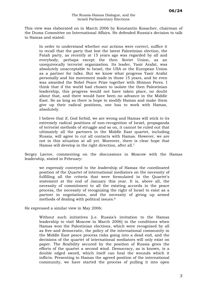This view was elaborated on in March 2006 by Konstantin Kosachev, chairman of the Duma Committee on International Affairs. He defended Russia's decision to talk to Hamas and stated:

In order to understand whether our actions were correct, suffice it to recall that the party that lost the latest Palestinian election, the Fatah party, as recently at 15 years ago was regarded by all and everybody, perhaps except the then Soviet Union, as an unequivocally terrorist organization. Its leader, Yasir Arafat, was absolutely unacceptable to Israel, the USA or the European Union as a partner for talks. But we know what progress Yasir Arafat personally and his movement made in those 15 years, and he even was awarded the Nobel Peace Prize together with Shimon Peres. I think that if the world had chosen to isolate the then Palestinian leadership, this progress would not have taken place, no doubt about that, and there would have been no advance in the Middle East. So as long as there is hope to modify Hamas and make them give up their radical positions, one has to work with Hamas, absolutely.

I believe that if, God forbid, we are wrong and Hamas will stick to its extremely radical positions of non-recognition of Israel, propaganda of terrorist methods of struggle and so on, it cannot be ruled out that ultimately all the partners in the Middle East quartet, including Russia, will agree to cut all contacts with Hamas. However, we are not in this situation at all yet. Moreover, there is clear hope that Hamas will develop in the right direction, after all.[7](#page-3-6)

Sergey Lavrov, commenting on the discussions in Moscow with the Hamas leadership, stated in February:

we expressly conveyed to the leadership of Hamas the coordinated position of the Quartet of international mediators on the necessity of fulfilling all the criteria that were formulated in the Quartet's statement at the end of January this year. It is, above all, the necessity of commitment to all the existing accords in the peace process, the necessity of recognizing the right of Israel to exist as a partner in negotiations, and the necessity of giving up armed methods of dealing with political issues.[8](#page-3-7)

He expressed a similar view in May 2006:

Without such initiatives [i.e. Russia's invitation to the Hamas leadership to visit Moscow in March 2006] in the conditions when Hamas won the Palestinian elections, which were recognised by all as free and democratic, the policy of the international community in the Middle East peace process risks going into a dead end, and the decisions of the quartet of international mediators will only exist on paper. The flexibility secured by the position of Russia gives the efforts of the quartet a second wind. Democracy, as is known, is a double edged sword, which itself can heal the wounds which it inflicts. Presenting to Hamas the agreed position of the international community, we have started the process of pulling it into open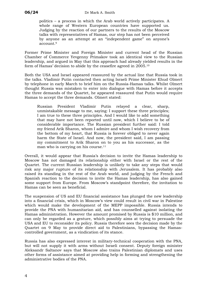politics – a process in which the Arab world actively participates. A whole range of Western European countries have supported us. Judging by the reaction of our partners to the results of the Moscow talks with representatives of Hamas, our step has not been perceived by anyone as an attempt at an "independent game" on anyone's account.[9](#page-3-8)

Former Prime Minister and Foreign Minister and current head of the Russian Chamber of Commerce Yevgenny Primakov took an identical view to the Russian leadership, and argued in May that this approach had already yielded results in the form of Hamas' decision to abide by the ceasefire agreed in 2005.[10](#page-3-9)

Both the USA and Israel appeared reassured by the actual line that Russia took in the talks. Vladimir Putin contacted then acting Israeli Prime Minister Ehud Olmert by telephone in early March to brief him on the Russia-Hamas talks. Whilst Olmert thought Russia was mistaken to enter into dialogue with Hamas before it accepts the three demands of the Quartet, he appeared reassured that Putin would require Hamas to accept the three demands. Olmert stated:

Russian President Vladimir Putin relayed a clear, sharp, unmistakable message to me, saying: I support these three principles; I am true to these three principles. And I would like to add something that may have not been reported until now, which I believe to be of considerable importance. The Russian president further said: I told my friend Arik Sharon, whom I admire and whom I wish recovery from the bottom of my heart, that Russia is forever obliged to never again harm the State of Israel. And now, the president said, I am passing my commitment to Arik Sharon on to you as his successor, as the man who is carrying on his course.<sup>11</sup>

Overall, it would appear that Russia's decision to invite the Hamas leadership to Moscow has not damaged its relationship either with Israel or the rest of the Quartet. The current Russian leadership is unlikely to take any steps that would risk any major rupture of its relationship with Jerusalem. It has probably also raised its standing in the rest of the Arab world, and judging by the French and Spanish reaction to the decision to invite the Hamas leadership, has also gained some support from Europe. From Moscow's standpoint therefore, the invitation to Hamas can be seen as beneficial.

The suspension of US and EU financial assistance has plunged the new leadership into a financial crisis, which in Moscow's view could result in civil war in Palestine which would make the development of the MEPP impossible. Russia intends to provide the PNA with humanitarian aid, and has counselled against isolating the Hamas administration. However the amount promised by Russia is \$10 million, and can only be regarded as a gesture, which possibly aims at trying to persuade the USA and EU to reconsider its policy. Russia therefore sees the decision made by the Quartet on 9 May to provide direct aid to Palestinians, bypassing the Hamascontrolled government, as a vindication of its stance.

Russia has also expressed interest in military-technical cooperation with the PNA, but will not supply it with arms without Israeli consent. Deputy foreign minister Aleksandr Saltanov says that Moscow also trains Palestinian diplomats and uses other forms of assistance aimed at providing help in forming and strengthening the administrative bodies of the PNA.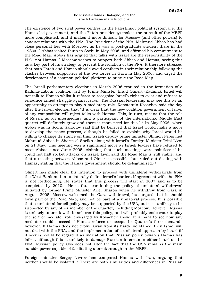#### The Russia-Hamas Dialogue, and the Israeli Parliamentary Elections

The existence of two rival power centres in the Palestinian political system (i.e. the Hamas led government, and the Fatah presidency) makes the pursuit of the MEPP more complicated, and it makes it more difficult for Moscow (and other powers) to conduct relations with the PNA. The President of the PNA, Mahmud Abbas has had close personal ties with Moscow, as he was a post-graduate student there in the 1980s.[12](#page-3-11) Abbas visited Putin in Sochi in May 2006, and affirmed his commitment to the Road Map. Abbas has argued that talks with Israel are the responsibility of the PLO, not Hamas.<sup>13</sup> Moscow wishes to support both Abbas and Hamas, seeing this as a key part of its strategy to prevent the isolation of the PNA. It therefore stressed that both Fatah and Hamas should avoid conflicts in their relationship following the clashes between supporters of the two forces in Gaza in May 2006, and urged the development of a common political platform to pursue the Road Map.

The Israeli parliamentary elections in March 2006 resulted in the formation of a Kadima-Labour coalition, led by Prime Minister Ehud Olmert (Kadima). Israel will not talk to Hamas whilst it refuses to recognise Israel's right to exist and refuses to renounce armed struggle against Israel. The Russian leadership may see this as an opportunity to attempt to play a mediatory role. Konstantin Kosachev said the day after the Israeli election that "it is clear that the new coalition government of Israel of any composition will reject talks with Hamas. This, in turn, means that the role of Russia as an intermediary and a participant of the international Middle East quartet will definitely grow and there is more need for this."[14](#page-3-13) In May 2006, when Abbas was in Sochi, Saltanov said that he believed that Israel would make a move to develop the peace process, although he failed to explain why Israel would be willing to change its stance on this. Israeli deputy prime minister Shimon Peres met Mahmud Abbas in Sharm el-Sheikh along with Israel's Foreign Minister Tzipi Livni on 21 May. This meeting was a significant move as Israeli leaders have refused to meet Abbas since June 2005, claiming that such meetings were pointless if he could not halt rocket attacks on Israel. Livni said the Road Map is still viable, and that a meeting between Abbas and Olmert is possible, but ruled out dealing with Hamas, stating that the Hamas government should be delegitimised[.15](#page-3-14) 

Olmert has made clear his intention to proceed with unilateral withdrawals from the West Bank and to unilaterally define Israel's borders if agreement with the PNA is not forthcoming. He states that this process will start in 2007 and is to be completed by 2010. He is thus continuing the policy of unilateral withdrawal initiated by former Prime Minister Ariel Sharon when he withdrew from Gaza in August 2005. Moscow welcomed the Gaza withdrawal, but argued that it should form part of the Road Map, and not be part of a unilateral process. It is possible that a unilateral Israeli policy may be supported by the USA, but it is unlikely to be supported by any other member of the Quartet, including Moscow. However, Russia is unlikely to break with Israel over this policy, and will probably endeavour to play the sort of mediator role envisaged by Kosachev above. It is hard to see how any mediator could succeed if Hamas refuses to accept the Quartet's three demands however. If Hamas does not evolve away from its hard-line stance, then Israel will not deal with the PNA, and the implementation of a unilateral approach by Israel (if it occurs) could be regarded as indication that Russian policy towards Hamas has failed, although this is unlikely to damage Russian interests in either Israel or the PNA. Russian policy also does not alter the fact that the USA remains the main outside power capable of facilitating a breakthrough in the MEPP.

Foreign minister Sergey Lavrov has compared Hamas with Iran, arguing that neither should be isolated.[16](#page-3-15) There are both similarities and differences in Russian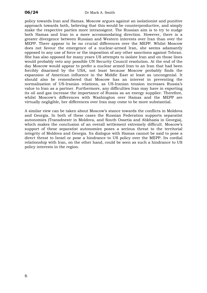policy towards Iran and Hamas. Moscow argues against an isolationist and punitive approach towards both, believing that this would be counterproductive, and simply make the respective parties more intransigent. The Russian aim is to try to nudge both Hamas and Iran in a more accommodating direction. However, there is a greater divergence between Russian and Western interests over Iran than over the MEPP. There appear to be no crucial differences over the MEPP. Whilst Moscow does not favour the emergence of a nuclear-armed Iran, she seems adamantly opposed to any use of force or the imposition of any other sanctions against Tehran. She has also opposed for many years US attempts to isolate Iran and on those lines would probably veto any possible UN Security Council resolution. At the end of the day Moscow would appear to prefer a nuclear armed Iran to an Iran that had been forcibly disarmed by the USA, not least because Moscow probably finds the expansion of American influence in the Middle East at least as uncongenial. It should also be remembered that Moscow has an interest in preventing the normalisation of US-Iranian relations, as US-Iranian tension increases Russia's value to Iran as a partner. Furthermore, any difficulties Iran may have in exporting its oil and gas increase the importance of Russia as an energy supplier. Therefore, whilst Moscow's differences with Washington over Hamas and the MEPP are virtually negligible, her differences over Iran may come to be more substantial.

A similar view can be taken about Moscow's stance towards the conflicts in Moldova and Georgia. In both of these cases the Russian Federation supports separatist autonomies (Transdnestr in Moldova, and South Ossetia and Abkhazia in Georgia), which makes the conclusion of an overall settlement extremely difficult. Moscow's support of these separatist autonomies poses a serious threat to the territorial integrity of Moldova and Georgia. Its dialogue with Hamas cannot be said to pose a direct threat to Israel or pose a hindrance to US policy over the MEPP. Its cordial relationship with Iran, on the other hand, could be seen as such a hindrance to US policy interests in the region.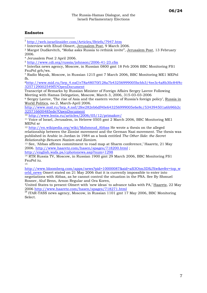#### **Endnotes**

 $\overline{a}$ 

 $\frac{1 \text{ http://web.israelinsider.com/Articles/Briefs/7947.htm}}{2 \text{ Interview with Ethud Olmert, Jerusalem Post, 9 March 2006.}}$  $\frac{1 \text{ http://web.israelinsider.com/Articles/Briefs/7947.htm}}{2 \text{ Interview with Ethud Olmert, Jerusalem Post, 9 March 2006.}}$  $\frac{1 \text{ http://web.israelinsider.com/Articles/Briefs/7947.htm}}{2 \text{ Interview with Ethud Olmert, Jerusalem Post, 9 March 2006.}}$ <br>  $\frac{3 \text{ Margot Dudkevitch, "Mofaz asks Russia to rethink invite", Jerusalem Post, 13 February}}{2 \text{ Energy Ludkevitch, 2006.}}$ 2006.

4 Jerusalem Post 2 April 2006.

<sup>5</sup> http://www.cdi.org/russia/johnson/2006-41-23.cfm<br><sup>6</sup> Interfax news agency, Moscow, in Russian 0800 gmt 18 Feb 2006 BBC Monitoring FS1 FsuPol grh/ws.

7 Radio Mayak, Moscow, in Russian 1215 gmt 7 March 2006, BBC Monitoring ME1 MEPol fh.

8[http://www.mid.ru/brp\\_4.nsf/e78a48070f128a7b43256999005bcbb3/4ee3c4a8b30c84f4c](http://www.mid.ru/brp_4.nsf/e78a48070f128a7b43256999005bcbb3/4ee3c4a8b30c84f4c3257129002549f5?OpenDocument) [3257129002549f5?OpenDocument](http://www.mid.ru/brp_4.nsf/e78a48070f128a7b43256999005bcbb3/4ee3c4a8b30c84f4c3257129002549f5?OpenDocument) 

Transcript of Remarks by Russian Minister of Foreign Affairs Sergey Lavrov Following Meeting with Hamas Delegation, Moscow, March 3, 2006, 315-03-03-2006

9 Sergey Lavrov, 'The rise of Asia and the eastern vector of Russia's foreign policy', Russia in World Politics, no.2, March-April 2006.

[http://www.mid.ru/brp\\_4.nsf/2fee282eb6df40e643256999005e6e8c/534394501a6b96b2c](http://www.mid.ru/brp_4.nsf/2fee282eb6df40e643256999005e6e8c/534394501a6b96b2c325716600485ede?OpenDocument) 325716600485ede?OpenDocument<br><sup>10</sup> <http://www.lenta.ru/articles/2006/05/12/primakov/><br><sup>11</sup> Voice of Israel, Jerusalem, in Hebrew 0505 gmt 2 March 2006, BBC Monitoring ME1

MEPol sr

<sup>12</sup> [http://en.wikipedia.org/wiki/Mahmoud\\_Abbas](http://en.wikipedia.org/wiki/Mahmoud_Abbas) He wrote a thesis on the alleged relationship between the Zionist movement and the German Nazi movement. The thesis was published in Arabic in Jordan in 1984 as a book entitled *The Other Side: the Secret*

*Relationship Between Nazism and Zionism*. 13 See, 'Abbas affirms commitment to road map at Sharm conference,' Haaretz, 21 May 2006. <http://www.haaretz.com/hasen/spages/718200.html>;

<http://english.wafa.ps/cphotonews.asp?num=1298><br><sup>14</sup> RTR Russia TV, Moscow, in Russian 1900 gmt 29 March 2006, BBC Monitoring FS1 FsuPol iu.

15

[http://www.bloomberg.com/apps/news?pid=10000087&sid=aS3Otm3DSJXw&refer=top\\_w](http://www.bloomberg.com/apps/news?pid=10000087&sid=aS3Otm3DSJXw&refer=top_world_news) [orld\\_news](http://www.bloomberg.com/apps/news?pid=10000087&sid=aS3Otm3DSJXw&refer=top_world_news) Omert stated on 21 May 2006 that it is currently impossible to enter into negotiations with Abbas, as he cannot control the situation in the PNA. See By Shmuel Rosner, Aluf Benn, Arnon Regular and Ora Koren,

'United States to present Olmert with 'new ideas' to advance talks with PA,' Haaretz, 22 May

<sup>2006</sup> <http://www.haaretz.com/hasen/spages/718271.html><sup>16</sup> ITAR-TASS news agency, Moscow, in Russian 1101 gmt 17 May 2006, BBC Monitoring Select.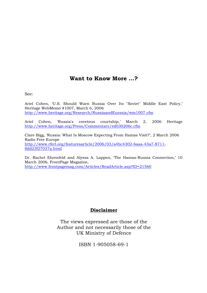#### **Want to Know More …?**

See:

Ariel Cohen, 'U.S. Should Warn Russia Over Its "Soviet" Middle East Policy,' Heritage WebMemo #1007, March 6, 2006 <http://www.heritage.org/Research/RussiaandEurasia/wm1007.cfm>

Ariel Cohen, 'Russia's covetous courtship,' March 2, 2006 Heritage <http://www.heritage.org/Press/Commentary/ed030206c.cfm>

Clare Bigg, 'Russia: What Is Moscow Expecting From Hamas Visit?', 2 March 2006 Radio Free Europe [http://www.rferl.org/featuresarticle/2006/03/a4bc4302-6aaa-43a7-8711-](http://www.rferl.org/featuresarticle/2006/03/a4bc4302-6aaa-43a7-8711-8dd23f27037a.html) [8dd23f27037a.html](http://www.rferl.org/featuresarticle/2006/03/a4bc4302-6aaa-43a7-8711-8dd23f27037a.html) 

Dr. Rachel Ehrenfeld and Alyssa A. Lappen, The Hamas-Russia Connection,' 10 March 2006, FrontPage Magazine, <http://www.frontpagemag.com/Articles/ReadArticle.asp?ID=21560>

#### **Disclaimer**

The views expressed are those of the Author and not necessarily those of the UK Ministry of Defence

ISBN 1-905058-69-1